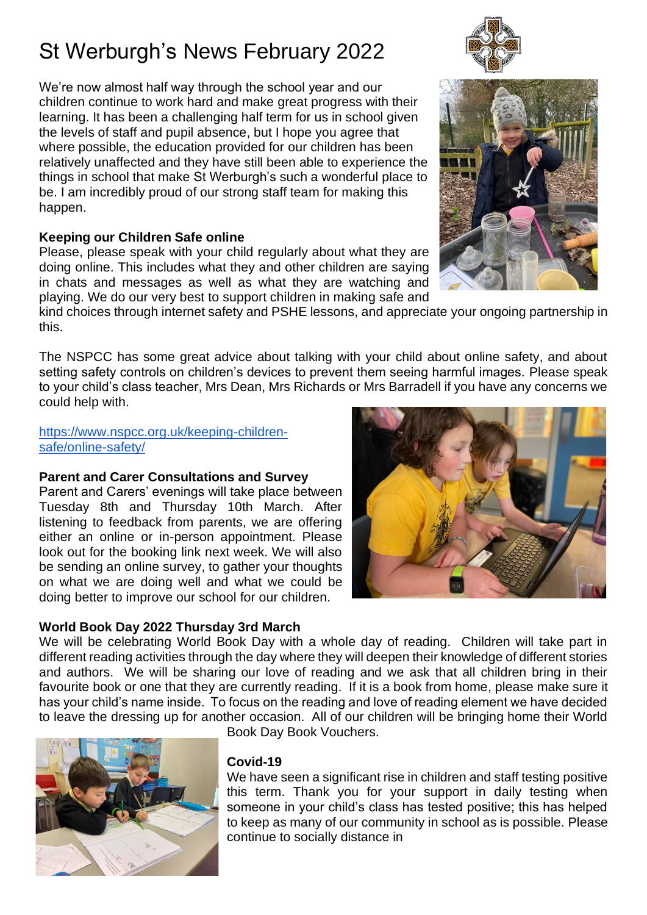We're now almost half way through the school year and our children continue to work hard and make great progress with their learning. It has been a challenging half term for us in school given the levels of staff and pupil absence, but I hope you agree that where possible, the education provided for our children has been relatively unaffected and they have still been able to experience the things in school that make St Werburgh's such a wonderful place to be. I am incredibly proud of our strong staff team for making this happen.

# **Keeping our Children Safe online**

Please, please speak with your child regularly about what they are doing online. This includes what they and other children are saying in chats and messages as well as what they are watching and playing. We do our very best to support children in making safe and

kind choices through internet safety and PSHE lessons, and appreciate your ongoing partnership in this.

The NSPCC has some great advice about talking with your child about online safety, and about setting safety controls on children's devices to prevent them seeing harmful images. Please speak to your child's class teacher, Mrs Dean, Mrs Richards or Mrs Barradell if you have any concerns we could help with.

### [https://www.nspcc.org.uk/keeping-children](https://www.nspcc.org.uk/keeping-children-safe/online-safety/)[safe/online-safety/](https://www.nspcc.org.uk/keeping-children-safe/online-safety/)

# **Parent and Carer Consultations and Survey**

Parent and Carers' evenings will take place between Tuesday 8th and Thursday 10th March. After listening to feedback from parents, we are offering either an online or in-person appointment. Please look out for the booking link next week. We will also be sending an online survey, to gather your thoughts on what we are doing well and what we could be doing better to improve our school for our children.

# **World Book Day 2022 Thursday 3rd March**

We will be celebrating World Book Day with a whole day of reading. Children will take part in different reading activities through the day where they will deepen their knowledge of different stories and authors. We will be sharing our love of reading and we ask that all children bring in their favourite book or one that they are currently reading. If it is a book from home, please make sure it has your child's name inside. To focus on the reading and love of reading element we have decided to leave the dressing up for another occasion. All of our children will be bringing home their World



Book Day Book Vouchers.

# **Covid-19**

We have seen a significant rise in children and staff testing positive this term. Thank you for your support in daily testing when someone in your child's class has tested positive; this has helped to keep as many of our community in school as is possible. Please continue to socially distance in





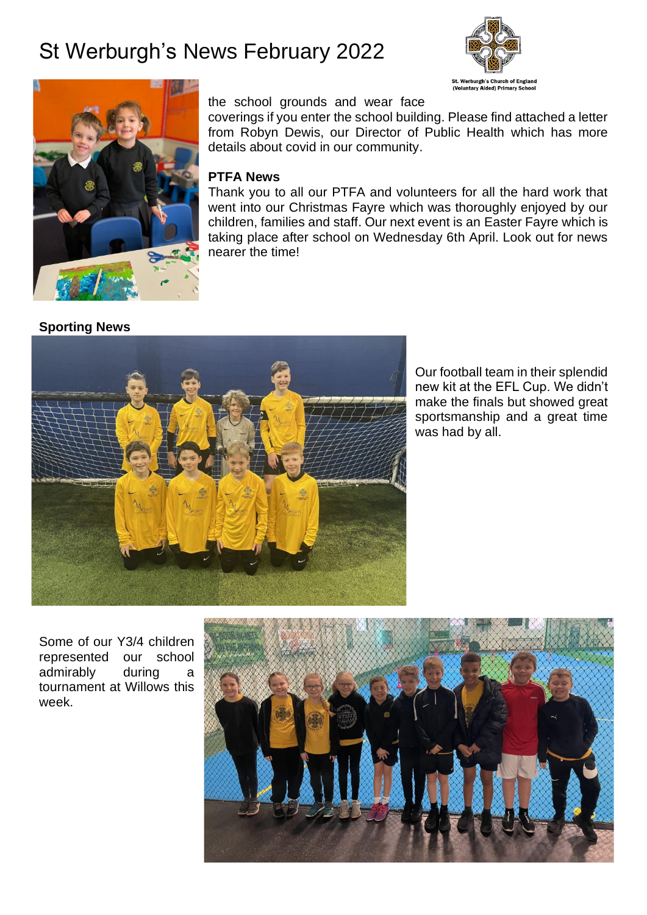



#### the school grounds and wear face

coverings if you enter the school building. Please find attached a letter from Robyn Dewis, our Director of Public Health which has more details about covid in our community.

## **PTFA News**

Thank you to all our PTFA and volunteers for all the hard work that went into our Christmas Fayre which was thoroughly enjoyed by our children, families and staff. Our next event is an Easter Fayre which is taking place after school on Wednesday 6th April. Look out for news nearer the time!

#### **Sporting News**



Our football team in their splendid new kit at the EFL Cup. We didn't make the finals but showed great sportsmanship and a great time was had by all.

Some of our Y3/4 children represented our school admirably during a tournament at Willows this week.

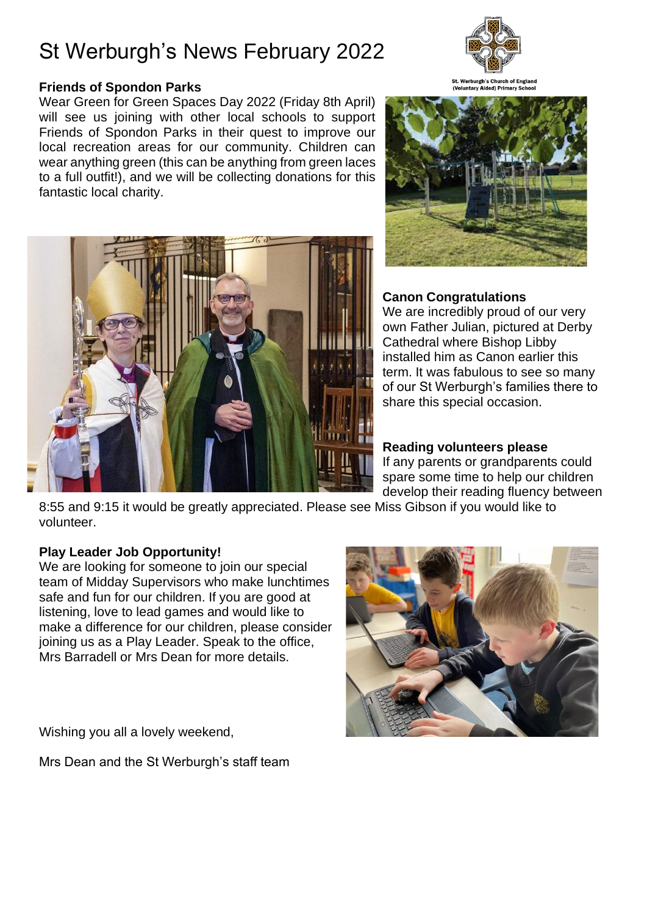## **Friends of Spondon Parks**

Wear Green for Green Spaces Day 2022 (Friday 8th April) will see us joining with other local schools to support Friends of Spondon Parks in their quest to improve our local recreation areas for our community. Children can wear anything green (this can be anything from green laces to a full outfit!), and we will be collecting donations for this fantastic local charity.







## **Canon Congratulations**

We are incredibly proud of our very own Father Julian, pictured at Derby Cathedral where Bishop Libby installed him as Canon earlier this term. It was fabulous to see so many of our St Werburgh's families there to share this special occasion.

### **Reading volunteers please**

If any parents or grandparents could spare some time to help our children develop their reading fluency between

8:55 and 9:15 it would be greatly appreciated. Please see Miss Gibson if you would like to volunteer.

### **Play Leader Job Opportunity!**

We are looking for someone to join our special team of Midday Supervisors who make lunchtimes safe and fun for our children. If you are good at listening, love to lead games and would like to make a difference for our children, please consider joining us as a Play Leader. Speak to the office, Mrs Barradell or Mrs Dean for more details.

Wishing you all a lovely weekend,

Mrs Dean and the St Werburgh's staff team